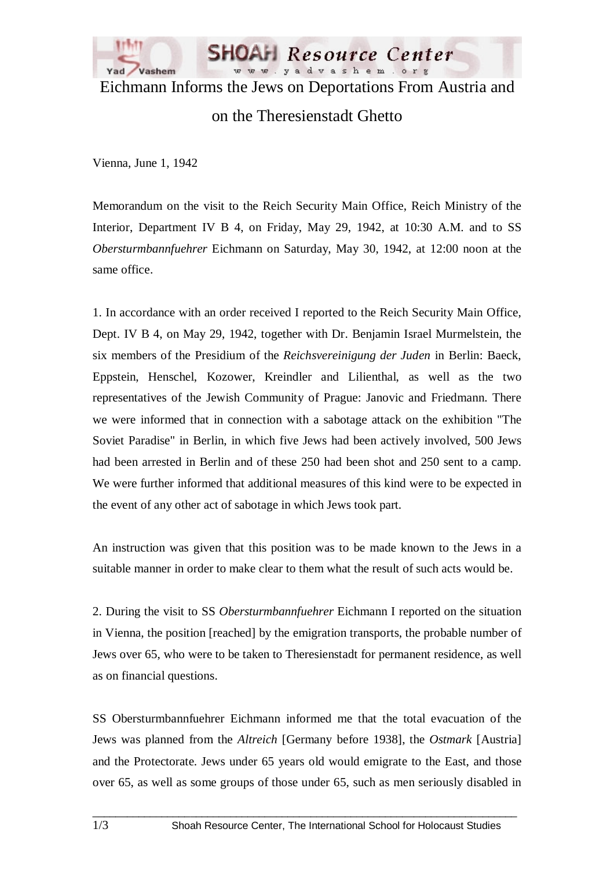

Eichmann Informs the Jews on Deportations From Austria and

## on the Theresienstadt Ghetto

Vienna, June 1, 1942

Memorandum on the visit to the Reich Security Main Office, Reich Ministry of the Interior, Department IV B 4, on Friday, May 29, 1942, at 10:30 A.M. and to SS *Obersturmbannfuehrer* Eichmann on Saturday, May 30, 1942, at 12:00 noon at the same office.

1. In accordance with an order received I reported to the Reich Security Main Office, Dept. IV B 4, on May 29, 1942, together with Dr. Benjamin Israel Murmelstein, the six members of the Presidium of the *Reichsvereinigung der Juden* in Berlin: Baeck, Eppstein, Henschel, Kozower, Kreindler and Lilienthal, as well as the two representatives of the Jewish Community of Prague: Janovic and Friedmann. There we were informed that in connection with a sabotage attack on the exhibition "The Soviet Paradise" in Berlin, in which five Jews had been actively involved, 500 Jews had been arrested in Berlin and of these 250 had been shot and 250 sent to a camp. We were further informed that additional measures of this kind were to be expected in the event of any other act of sabotage in which Jews took part.

An instruction was given that this position was to be made known to the Jews in a suitable manner in order to make clear to them what the result of such acts would be.

2. During the visit to SS *Obersturmbannfuehrer* Eichmann I reported on the situation in Vienna, the position [reached] by the emigration transports, the probable number of Jews over 65, who were to be taken to Theresienstadt for permanent residence, as well as on financial questions.

SS Obersturmbannfuehrer Eichmann informed me that the total evacuation of the Jews was planned from the *Altreich* [Germany before 1938], the *Ostmark* [Austria] and the Protectorate. Jews under 65 years old would emigrate to the East, and those over 65, as well as some groups of those under 65, such as men seriously disabled in

 $\_$  ,  $\_$  ,  $\_$  ,  $\_$  ,  $\_$  ,  $\_$  ,  $\_$  ,  $\_$  ,  $\_$  ,  $\_$  ,  $\_$  ,  $\_$  ,  $\_$  ,  $\_$  ,  $\_$  ,  $\_$  ,  $\_$  ,  $\_$  ,  $\_$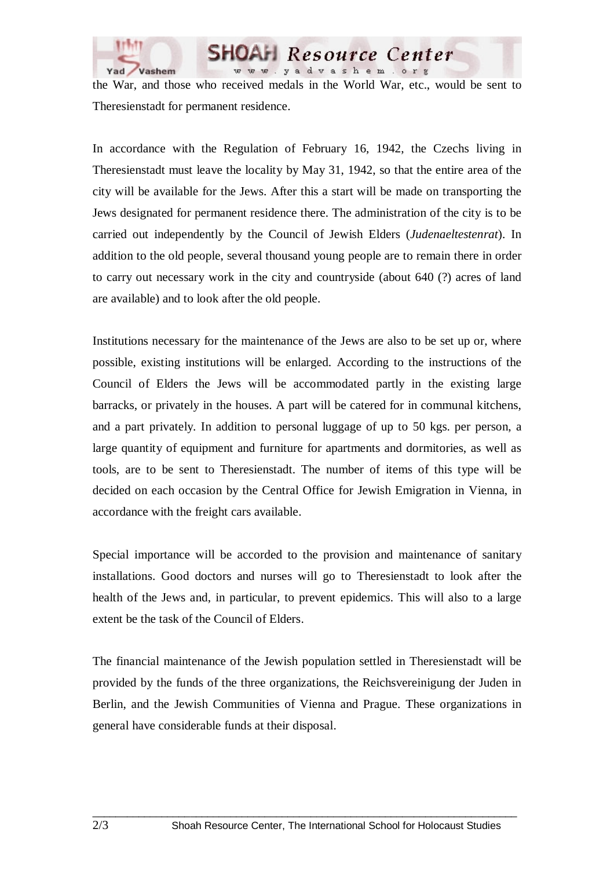

the War, and those who received medals in the World War, etc., would be sent to Theresienstadt for permanent residence.

Resource Center

yadvashem.org

In accordance with the Regulation of February 16, 1942, the Czechs living in Theresienstadt must leave the locality by May 31, 1942, so that the entire area of the city will be available for the Jews. After this a start will be made on transporting the Jews designated for permanent residence there. The administration of the city is to be carried out independently by the Council of Jewish Elders (*Judenaeltestenrat*). In addition to the old people, several thousand young people are to remain there in order to carry out necessary work in the city and countryside (about 640 (?) acres of land are available) and to look after the old people.

Institutions necessary for the maintenance of the Jews are also to be set up or, where possible, existing institutions will be enlarged. According to the instructions of the Council of Elders the Jews will be accommodated partly in the existing large barracks, or privately in the houses. A part will be catered for in communal kitchens, and a part privately. In addition to personal luggage of up to 50 kgs. per person, a large quantity of equipment and furniture for apartments and dormitories, as well as tools, are to be sent to Theresienstadt. The number of items of this type will be decided on each occasion by the Central Office for Jewish Emigration in Vienna, in accordance with the freight cars available.

Special importance will be accorded to the provision and maintenance of sanitary installations. Good doctors and nurses will go to Theresienstadt to look after the health of the Jews and, in particular, to prevent epidemics. This will also to a large extent be the task of the Council of Elders.

The financial maintenance of the Jewish population settled in Theresienstadt will be provided by the funds of the three organizations, the Reichsvereinigung der Juden in Berlin, and the Jewish Communities of Vienna and Prague. These organizations in general have considerable funds at their disposal.

 $\_$  ,  $\_$  ,  $\_$  ,  $\_$  ,  $\_$  ,  $\_$  ,  $\_$  ,  $\_$  ,  $\_$  ,  $\_$  ,  $\_$  ,  $\_$  ,  $\_$  ,  $\_$  ,  $\_$  ,  $\_$  ,  $\_$  ,  $\_$  ,  $\_$